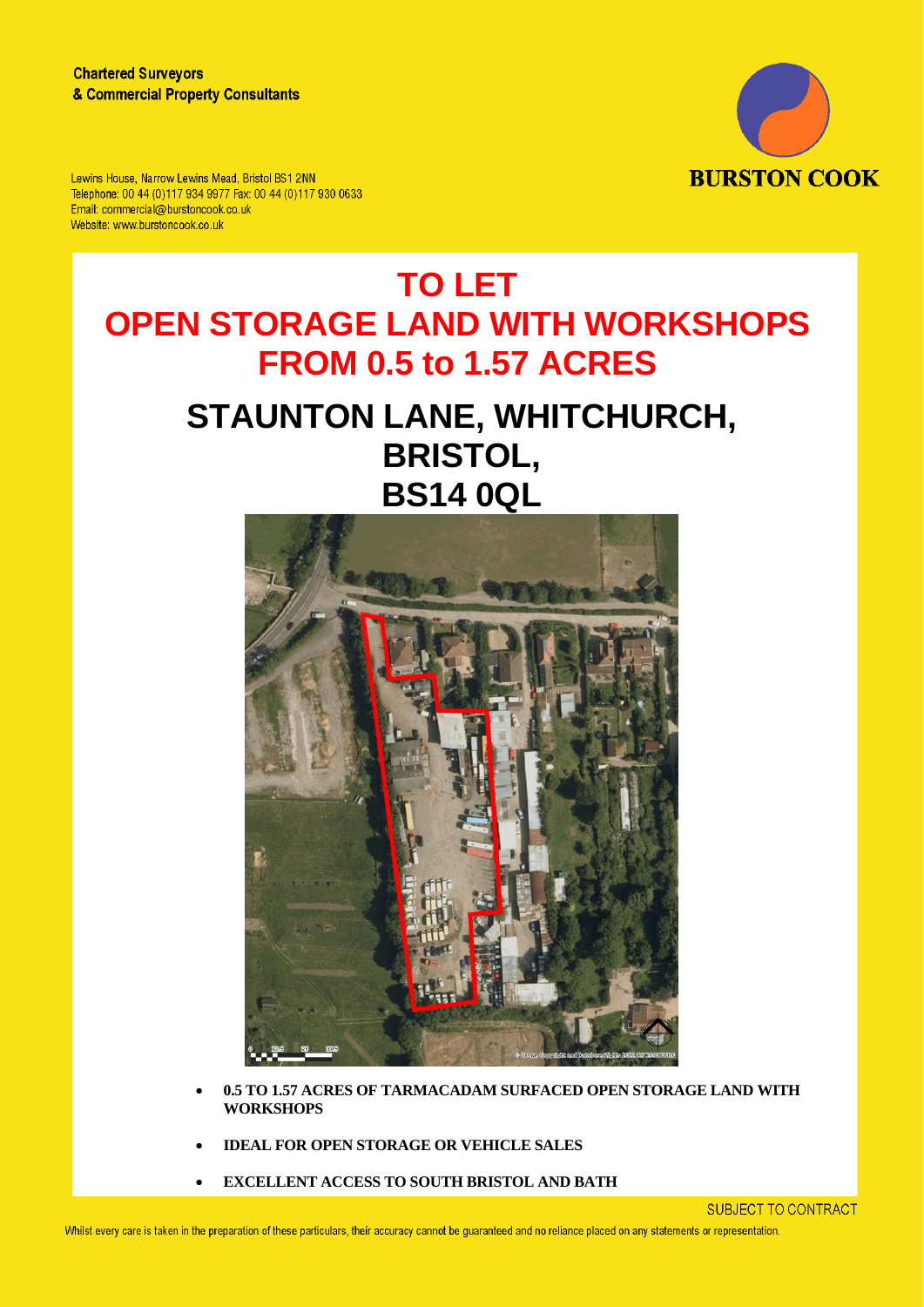

Lewins House, Narrow Lewins Mead, Bristol BS1 2NN Telephone: 00 44 (0)117 934 9977 Fax: 00 44 (0)117 930 0633 Email: commercial@burstoncook.co.uk Website: www.burstoncook.co.uk

# **TO LET OPEN STORAGE LAND WITH WORKSHOPS FROM 0.5 to 1.57 ACRES**

# **STAUNTON LANE, WHITCHURCH, BRISTOL, BS14 0QL**



- **0.5 TO 1.57 ACRES OF TARMACADAM SURFACED OPEN STORAGE LAND WITH WORKSHOPS**
- **IDEAL FOR OPEN STORAGE OR VEHICLE SALES**
- **EXCELLENT ACCESS TO SOUTH BRISTOL AND BATH**

**SUBJECT TO CONTRACT**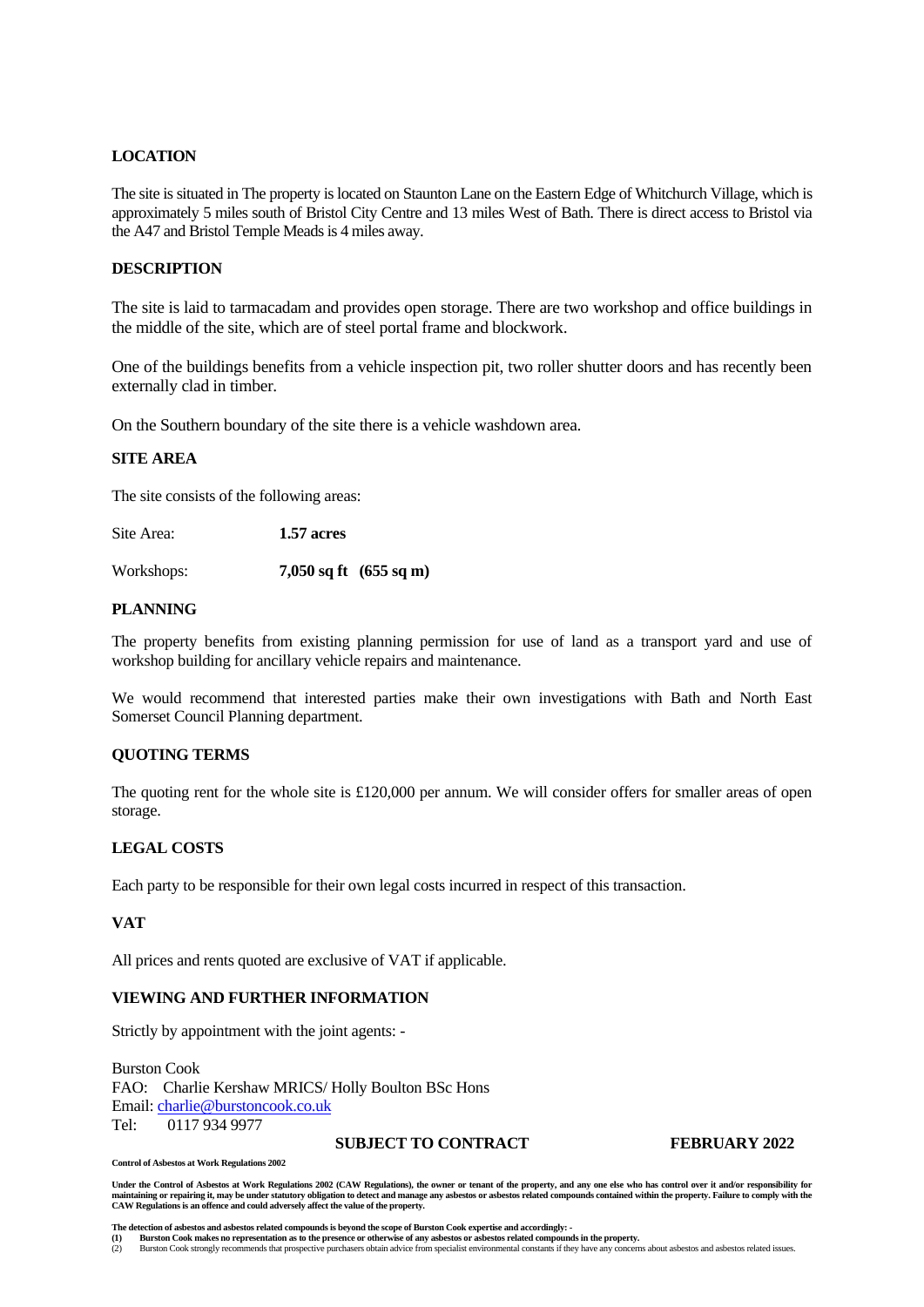# **LOCATION**

The site is situated in The property is located on Staunton Lane on the Eastern Edge of Whitchurch Village, which is approximately 5 miles south of Bristol City Centre and 13 miles West of Bath. There is direct access to Bristol via the A47 and Bristol Temple Meads is 4 miles away.

## **DESCRIPTION**

The site is laid to tarmacadam and provides open storage. There are two workshop and office buildings in the middle of the site, which are of steel portal frame and blockwork.

One of the buildings benefits from a vehicle inspection pit, two roller shutter doors and has recently been externally clad in timber.

On the Southern boundary of the site there is a vehicle washdown area.

# **SITE AREA**

The site consists of the following areas:

Site Area: **1.57 acres**

Workshops: **7,050 sq ft (655 sq m)**

## **PLANNING**

The property benefits from existing planning permission for use of land as a transport yard and use of workshop building for ancillary vehicle repairs and maintenance.

We would recommend that interested parties make their own investigations with Bath and North East Somerset Council Planning department.

# **QUOTING TERMS**

The quoting rent for the whole site is £120,000 per annum. We will consider offers for smaller areas of open storage.

# **LEGAL COSTS**

Each party to be responsible for their own legal costs incurred in respect of this transaction.

### **VAT**

All prices and rents quoted are exclusive of VAT if applicable.

### **VIEWING AND FURTHER INFORMATION**

Strictly by appointment with the joint agents: -

**Control of Asbestos at Work Regulations 2002**

Burston Cook FAO: Charlie Kershaw MRICS/ Holly Boulton BSc Hons Email[: charlie@burstoncook.co.uk](mailto:charlie@burstoncook.co.uk) Tel: 0117 934 9977

**SUBJECT TO CONTRACT FEBRUARY 2022**

Under the Control of Asbestos at Work Regulations 2002 (CAW Regulations), the owner or tenant of the property, and any one else who has control over it and/or responsibility for maintaining or repairing it, may be under statutory obligation to detect and manage any asbestos or asbestos related compounds contained within the property. Failure to comply with the<br>CAW Regulations is an offence and cou

The detection of asbestos and asbestos related compounds is beyond the scope of Burston Cook expertise and accordingly: -<br>(1) Burston Cook makes no representation as to the presence or otherwise of any asbestos or asbestos

(2) Burston Cook strongly recommends that prospective purchasers obtain advice from specialist environmental constants if they have any concerns about asbestos and asbestos related issues.